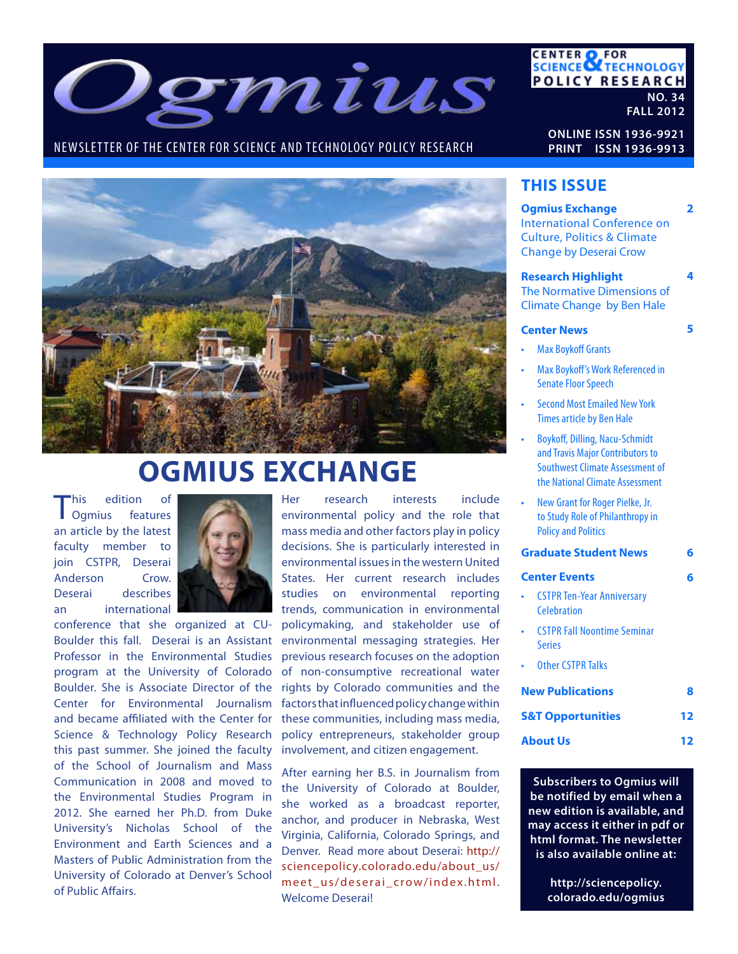

### NEWSLETTER OF THE CENTER FOR SCIENCE AND TECHNOLOGY POLICY RESEARCH

**ONLINE ISSN 1936-9921 PRINT ISSN 1936-9913**

**CENTER OF FOR<br>SCIENCE OF TECHNOLOGY** 

**POLICY RESEARCH** 

**NO. 34 FALL 2012**



# **OGMIUS EXCHANGE**

This edition of<br>
Ogmius features an article by the latest faculty member to join CSTPR, Deserai Anderson Crow. Deserai describes an international



conference that she organized at CU-Boulder this fall. Deserai is an Assistant Professor in the Environmental Studies program at the University of Colorado Boulder. She is Associate Director of the Center for Environmental Journalism and became affiliated with the Center for Science & Technology Policy Research this past summer. She joined the faculty of the School of Journalism and Mass Communication in 2008 and moved to the Environmental Studies Program in 2012. She earned her Ph.D. from Duke University's Nicholas School of the Environment and Earth Sciences and a Masters of Public Administration from the University of Colorado at Denver's School of Public Affairs.

Her research interests include environmental policy and the role that mass media and other factors play in policy decisions. She is particularly interested in environmental issues in the western United States. Her current research includes studies on environmental reporting trends, communication in environmental policymaking, and stakeholder use of environmental messaging strategies. Her previous research focuses on the adoption of non-consumptive recreational water rights by Colorado communities and the factors that influenced policy change within these communities, including mass media, policy entrepreneurs, stakeholder group involvement, and citizen engagement.

After earning her B.S. in Journalism from the University of Colorado at Boulder, she worked as a broadcast reporter, anchor, and producer in Nebraska, West Virginia, California, Colorado Springs, and Denver. Read more about Deserai: http:// sciencepolicy.colorado.edu/about\_us/ meet us/deserai crow/index.html. Welcome Deserai!

### **THIS ISSUE**

| <b>Ogmius Exchange</b>                 |
|----------------------------------------|
| International Conference on            |
| <b>Culture, Politics &amp; Climate</b> |
| <b>Change by Deserai Crow</b>          |

#### **Research Highlight** The Normative Dimensions of Climate Change by Ben Hale

#### **Center News**

**5**

**6**

**4**

**2**

- Max Boykoff Grants
- Max Boykoff's Work Referenced in Senate Floor Speech
- Second Most Emailed New York Times article by Ben Hale
- Boykoff, Dilling, Nacu-Schmidt and Travis Major Contributors to Southwest Climate Assessment of the National Climate Assessment
- New Grant for Roger Pielke, Jr. to Study Role of Philanthropy in Policy and Politics

| <b>Graduate Student News</b> |
|------------------------------|
|------------------------------|

| <b>Center Events</b> |  |
|----------------------|--|
|                      |  |

- CSTPR Ten-Year Anniversary **Celebration**
- CSTPR Fall Noontime Seminar **Series**
- **Other CSTPR Talks**

| <b>New Publications</b>      | я  |  |
|------------------------------|----|--|
| <b>S&amp;T Opportunities</b> | 12 |  |
| <b>About Us</b>              | 12 |  |

**Subscribers to Ogmius will be notified by email when a new edition is available, and may access it either in pdf or html format. The newsletter is also available online at:**

> **http://sciencepolicy. colorado.edu/ogmius**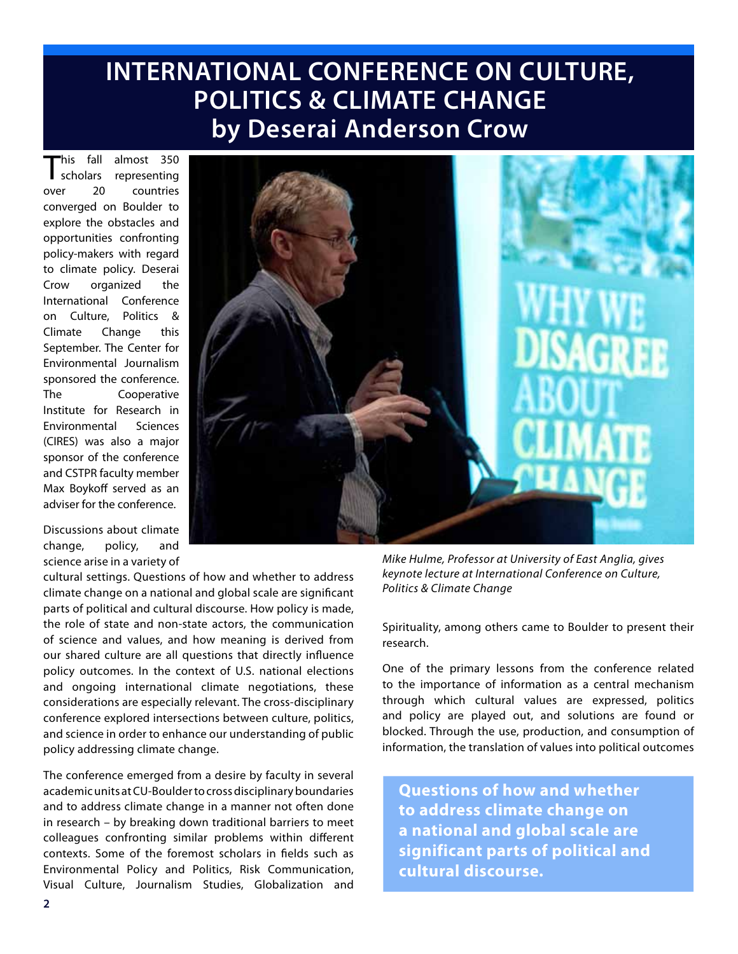# **INTERNATIONAL CONFERENCE ON CULTURE, POLITICS & CLIMATE CHANGE by Deserai Anderson Crow**

This fall almost 350<br>scholars representing<br>over 20 countries representing countries converged on Boulder to explore the obstacles and opportunities confronting policy-makers with regard to climate policy. Deserai Crow organized the International Conference on Culture, Politics & Climate Change this September. The Center for Environmental Journalism sponsored the conference. The Cooperative Institute for Research in Environmental Sciences (CIRES) was also a major sponsor of the conference and CSTPR faculty member Max Boykoff served as an adviser for the conference.



Discussions about climate change, policy, and science arise in a variety of

cultural settings. Questions of how and whether to address climate change on a national and global scale are significant parts of political and cultural discourse. How policy is made, the role of state and non-state actors, the communication of science and values, and how meaning is derived from our shared culture are all questions that directly influence policy outcomes. In the context of U.S. national elections and ongoing international climate negotiations, these considerations are especially relevant. The cross-disciplinary conference explored intersections between culture, politics, and science in order to enhance our understanding of public policy addressing climate change.

The conference emerged from a desire by faculty in several academic units at CU-Boulder to cross disciplinary boundaries and to address climate change in a manner not often done in research – by breaking down traditional barriers to meet colleagues confronting similar problems within different contexts. Some of the foremost scholars in fields such as Environmental Policy and Politics, Risk Communication, Visual Culture, Journalism Studies, Globalization and

*Mike Hulme, Professor at University of East Anglia, gives keynote lecture at International Conference on Culture, Politics & Climate Change*

Spirituality, among others came to Boulder to present their research.

One of the primary lessons from the conference related to the importance of information as a central mechanism through which cultural values are expressed, politics and policy are played out, and solutions are found or blocked. Through the use, production, and consumption of information, the translation of values into political outcomes

**Questions of how and whether to address climate change on a national and global scale are significant parts of political and cultural discourse.**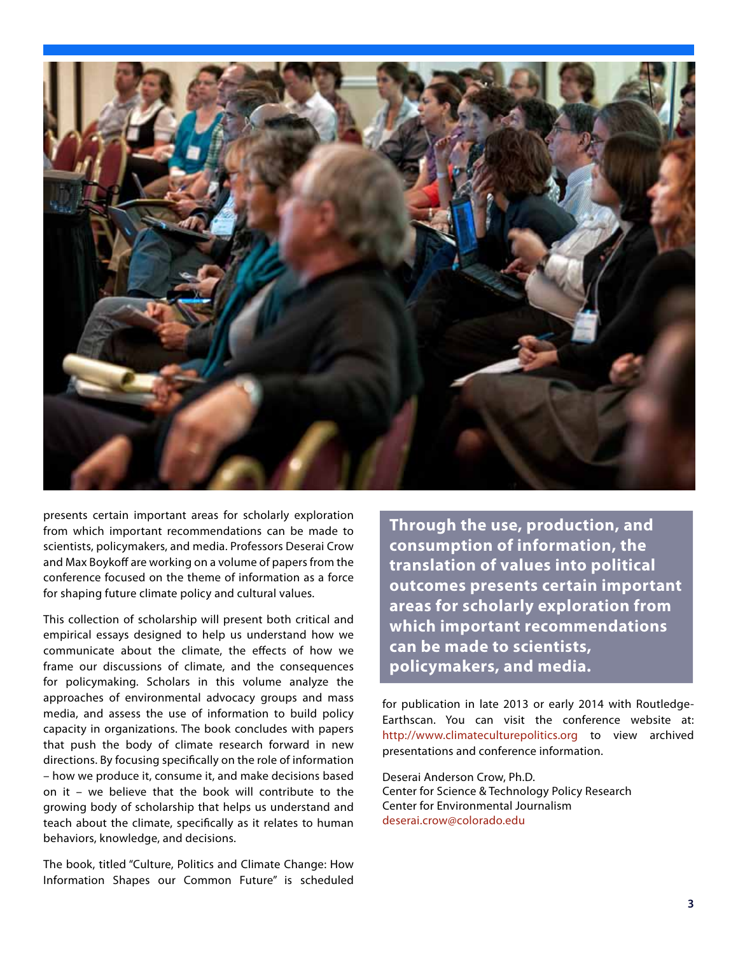

presents certain important areas for scholarly exploration from which important recommendations can be made to scientists, policymakers, and media. Professors Deserai Crow and Max Boykoff are working on a volume of papers from the conference focused on the theme of information as a force for shaping future climate policy and cultural values.

This collection of scholarship will present both critical and empirical essays designed to help us understand how we communicate about the climate, the effects of how we frame our discussions of climate, and the consequences for policymaking. Scholars in this volume analyze the approaches of environmental advocacy groups and mass media, and assess the use of information to build policy capacity in organizations. The book concludes with papers that push the body of climate research forward in new directions. By focusing specifically on the role of information – how we produce it, consume it, and make decisions based on it – we believe that the book will contribute to the growing body of scholarship that helps us understand and teach about the climate, specifically as it relates to human behaviors, knowledge, and decisions.

The book, titled "Culture, Politics and Climate Change: How Information Shapes our Common Future" is scheduled **Through the use, production, and consumption of information, the translation of values into political outcomes presents certain important areas for scholarly exploration from which important recommendations can be made to scientists, policymakers, and media.** 

for publication in late 2013 or early 2014 with Routledge-Earthscan. You can visit the conference website at: http://www.climateculturepolitics.org to view archived presentations and conference information.

Deserai Anderson Crow, Ph.D. Center for Science & Technology Policy Research Center for Environmental Journalism deserai.crow@colorado.edu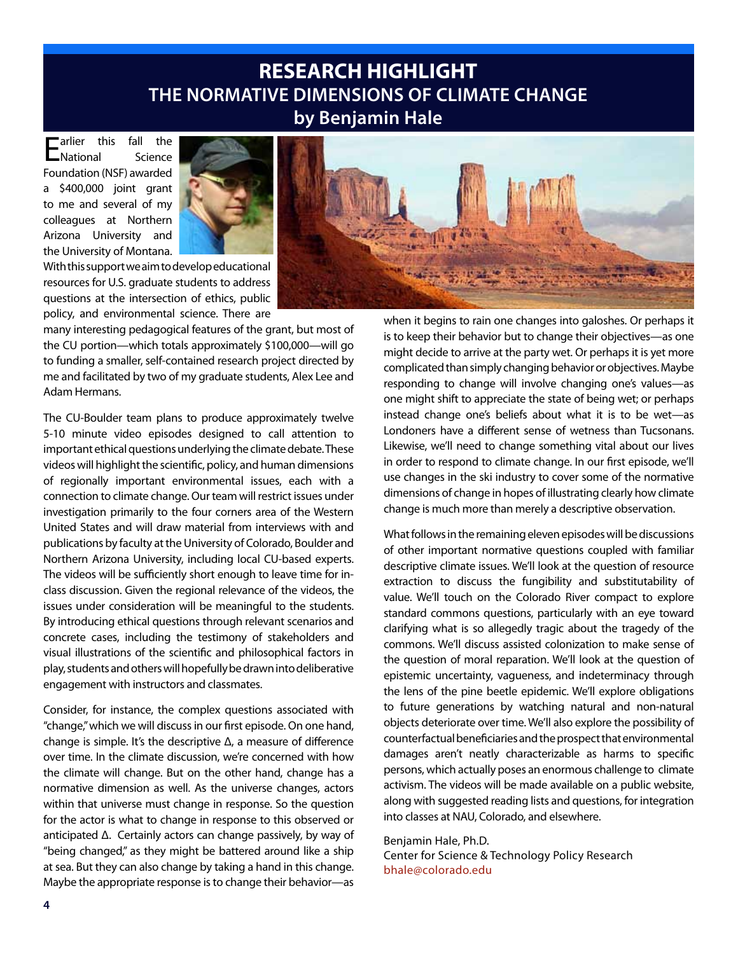### **RESEARCH HIGHLIGHT THE NORMATIVE DIMENSIONS OF CLIMATE CHANGE by Benjamin Hale**

**E**arlier this fall the<br>ENational Science  $\Box$ National Foundation (NSF) awarded a \$400,000 joint grant to me and several of my colleagues at Northern Arizona University and the University of Montana.



With this support we aim to develop educational resources for U.S. graduate students to address questions at the intersection of ethics, public policy, and environmental science. There are

many interesting pedagogical features of the grant, but most of the CU portion—which totals approximately \$100,000—will go to funding a smaller, self-contained research project directed by me and facilitated by two of my graduate students, Alex Lee and Adam Hermans.

The CU-Boulder team plans to produce approximately twelve 5-10 minute video episodes designed to call attention to important ethical questions underlying the climate debate. These videos will highlight the scientific, policy, and human dimensions of regionally important environmental issues, each with a connection to climate change. Our team will restrict issues under investigation primarily to the four corners area of the Western United States and will draw material from interviews with and publications by faculty at the University of Colorado, Boulder and Northern Arizona University, including local CU-based experts. The videos will be sufficiently short enough to leave time for inclass discussion. Given the regional relevance of the videos, the issues under consideration will be meaningful to the students. By introducing ethical questions through relevant scenarios and concrete cases, including the testimony of stakeholders and visual illustrations of the scientific and philosophical factors in play, students and others will hopefully be drawn into deliberative engagement with instructors and classmates.

Consider, for instance, the complex questions associated with "change," which we will discuss in our first episode. On one hand, change is simple. It's the descriptive Δ, a measure of difference over time. In the climate discussion, we're concerned with how the climate will change. But on the other hand, change has a normative dimension as well. As the universe changes, actors within that universe must change in response. So the question for the actor is what to change in response to this observed or anticipated Δ. Certainly actors can change passively, by way of "being changed," as they might be battered around like a ship at sea. But they can also change by taking a hand in this change. Maybe the appropriate response is to change their behavior—as



when it begins to rain one changes into galoshes. Or perhaps it is to keep their behavior but to change their objectives—as one might decide to arrive at the party wet. Or perhaps it is yet more complicated than simply changing behavior or objectives. Maybe responding to change will involve changing one's values—as one might shift to appreciate the state of being wet; or perhaps instead change one's beliefs about what it is to be wet—as Londoners have a different sense of wetness than Tucsonans. Likewise, we'll need to change something vital about our lives in order to respond to climate change. In our first episode, we'll use changes in the ski industry to cover some of the normative dimensions of change in hopes of illustrating clearly how climate change is much more than merely a descriptive observation.

What follows in the remaining eleven episodes will be discussions of other important normative questions coupled with familiar descriptive climate issues. We'll look at the question of resource extraction to discuss the fungibility and substitutability of value. We'll touch on the Colorado River compact to explore standard commons questions, particularly with an eye toward clarifying what is so allegedly tragic about the tragedy of the commons. We'll discuss assisted colonization to make sense of the question of moral reparation. We'll look at the question of epistemic uncertainty, vagueness, and indeterminacy through the lens of the pine beetle epidemic. We'll explore obligations to future generations by watching natural and non-natural objects deteriorate over time. We'll also explore the possibility of counterfactual beneficiaries and the prospect that environmental damages aren't neatly characterizable as harms to specific persons, which actually poses an enormous challenge to climate activism. The videos will be made available on a public website, along with suggested reading lists and questions, for integration into classes at NAU, Colorado, and elsewhere.

#### Benjamin Hale, Ph.D.

Center for Science & Technology Policy Research bhale@colorado.edu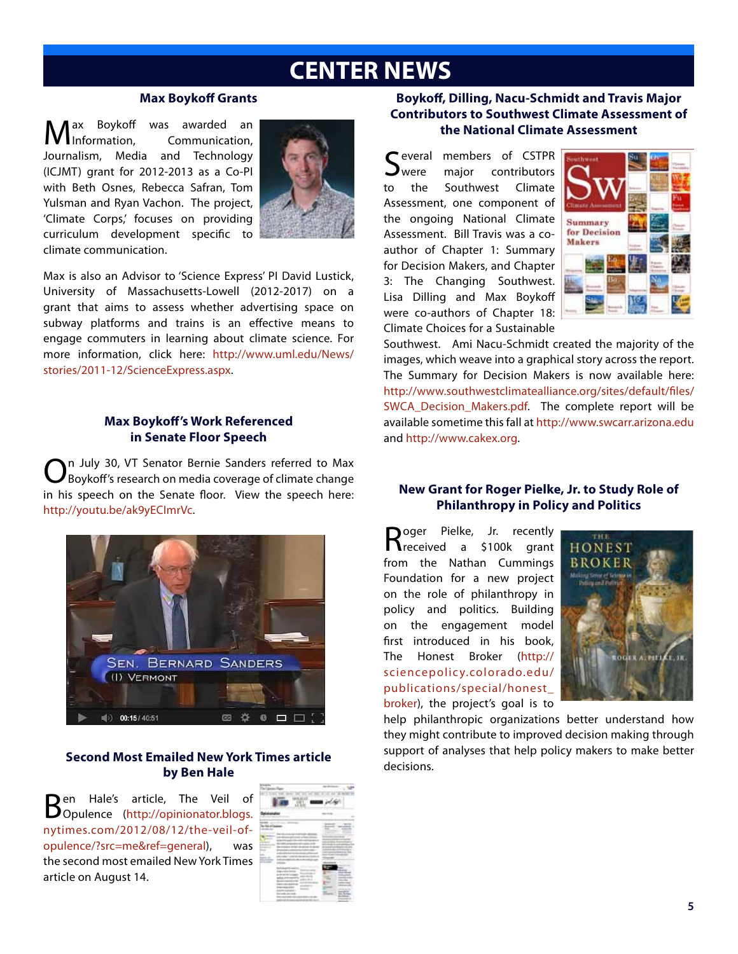# **CENTER NEWS**

### **Max Boykoff Grants**

ax Boykoff was awarded an<br>Information. Communication. Communication, Journalism, Media and Technology (ICJMT) grant for 2012-2013 as a Co-PI with Beth Osnes, Rebecca Safran, Tom Yulsman and Ryan Vachon. The project, 'Climate Corps,' focuses on providing curriculum development specific to climate communication.



Max is also an Advisor to 'Science Express' PI David Lustick, University of Massachusetts-Lowell (2012-2017) on a grant that aims to assess whether advertising space on subway platforms and trains is an effective means to engage commuters in learning about climate science. For more information, click here: http://www.uml.edu/News/ stories/2011-12/ScienceExpress.aspx.

### **Max Boykoff's Work Referenced in Senate Floor Speech**

n July 30, VT Senator Bernie Sanders referred to Max Boykoff's research on media coverage of climate change in his speech on the Senate floor. View the speech here: http://youtu.be/ak9yECImrVc.



#### **Second Most Emailed New York Times article by Ben Hale**

Ben Hale's article, The Veil of Opulence (http://opinionator.blogs. nytimes.com/2012/08/12/the-veil-ofopulence/?src=me&ref=general), was the second most emailed New York Times article on August 14.

### **Boykoff, Dilling, Nacu-Schmidt and Travis Major Contributors to Southwest Climate Assessment of the National Climate Assessment**

Several members of CSTPR<br>Swere major contributors to the Southwest Climate Assessment, one component of the ongoing National Climate Assessment. Bill Travis was a coauthor of Chapter 1: Summary for Decision Makers, and Chapter 3: The Changing Southwest. Lisa Dilling and Max Boykoff were co-authors of Chapter 18: Climate Choices for a Sustainable



Southwest. Ami Nacu-Schmidt created the majority of the images, which weave into a graphical story across the report. The Summary for Decision Makers is now available here: http://www.southwestclimatealliance.org/sites/default/files/ SWCA\_Decision\_Makers.pdf. The complete report will be available sometime this fall at http://www.swcarr.arizona.edu and http://www.cakex.org.

### **New Grant for Roger Pielke, Jr. to Study Role of Philanthropy in Policy and Politics**

Roger Pielke, Jr. recently<br>Received a \$100k grant from the Nathan Cummings Foundation for a new project on the role of philanthropy in policy and politics. Building on the engagement model first introduced in his book, The Honest Broker (http:// sciencepolicy.colorado.edu/ publications/special/honest\_ broker), the project's goal is to



help philanthropic organizations better understand how they might contribute to improved decision making through support of analyses that help policy makers to make better decisions.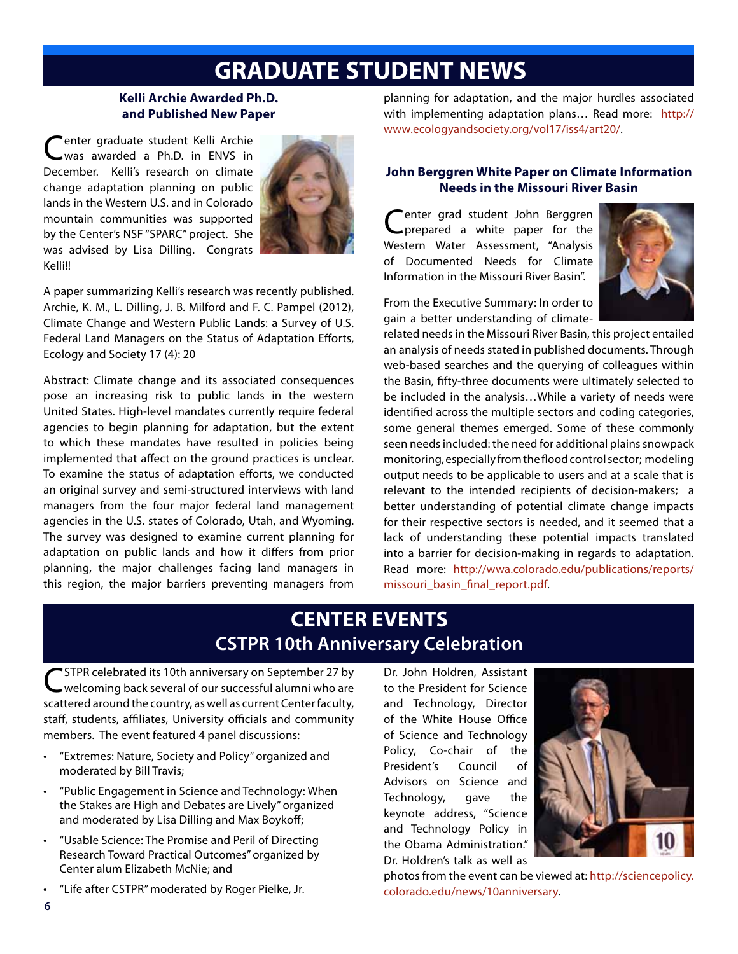# **GRADUATE STUDENT NEWS**

### **Kelli Archie Awarded Ph.D. and Published New Paper**

enter graduate student Kelli Archie was awarded a Ph.D. in ENVS in December. Kelli's research on climate change adaptation planning on public lands in the Western U.S. and in Colorado mountain communities was supported by the Center's NSF "SPARC" project. She was advised by Lisa Dilling. Congrats Kelli!!



A paper summarizing Kelli's research was recently published. Archie, K. M., L. Dilling, J. B. Milford and F. C. Pampel (2012), Climate Change and Western Public Lands: a Survey of U.S. Federal Land Managers on the Status of Adaptation Efforts, Ecology and Society 17 (4): 20

Abstract: Climate change and its associated consequences pose an increasing risk to public lands in the western United States. High-level mandates currently require federal agencies to begin planning for adaptation, but the extent to which these mandates have resulted in policies being implemented that affect on the ground practices is unclear. To examine the status of adaptation efforts, we conducted an original survey and semi-structured interviews with land managers from the four major federal land management agencies in the U.S. states of Colorado, Utah, and Wyoming. The survey was designed to examine current planning for adaptation on public lands and how it differs from prior planning, the major challenges facing land managers in this region, the major barriers preventing managers from

planning for adaptation, and the major hurdles associated with implementing adaptation plans... Read more: http:// www.ecologyandsociety.org/vol17/iss4/art20/.

### **John Berggren White Paper on Climate Information Needs in the Missouri River Basin**

Center grad student John Berggren<br>Cprepared a white paper for the Western Water Assessment, "Analysis of Documented Needs for Climate Information in the Missouri River Basin".



From the Executive Summary: In order to gain a better understanding of climate-

related needs in the Missouri River Basin, this project entailed an analysis of needs stated in published documents. Through web-based searches and the querying of colleagues within the Basin, fifty-three documents were ultimately selected to be included in the analysis…While a variety of needs were identified across the multiple sectors and coding categories, some general themes emerged. Some of these commonly seen needs included: the need for additional plains snowpack monitoring, especially from the flood control sector; modeling output needs to be applicable to users and at a scale that is relevant to the intended recipients of decision-makers; a better understanding of potential climate change impacts for their respective sectors is needed, and it seemed that a lack of understanding these potential impacts translated into a barrier for decision-making in regards to adaptation. Read more: http://wwa.colorado.edu/publications/reports/ missouri\_basin\_final\_report.pdf.

## **CENTER EVENTS CSTPR 10th Anniversary Celebration**

\*STPR celebrated its 10th anniversary on September 27 by welcoming back several of our successful alumni who are scattered around the country, as well as current Center faculty, staff, students, affiliates, University officials and community members. The event featured 4 panel discussions:

- "Extremes: Nature, Society and Policy" organized and moderated by Bill Travis;
- "Public Engagement in Science and Technology: When the Stakes are High and Debates are Lively" organized and moderated by Lisa Dilling and Max Boykoff;
- "Usable Science: The Promise and Peril of Directing Research Toward Practical Outcomes" organized by Center alum Elizabeth McNie; and
- "Life after CSTPR" moderated by Roger Pielke, Jr.

Dr. John Holdren, Assistant to the President for Science and Technology, Director of the White House Office of Science and Technology Policy, Co-chair of the President's Council of Advisors on Science and Technology, gave the keynote address, "Science and Technology Policy in the Obama Administration." Dr. Holdren's talk as well as



photos from the event can be viewed at: http://sciencepolicy. colorado.edu/news/10anniversary.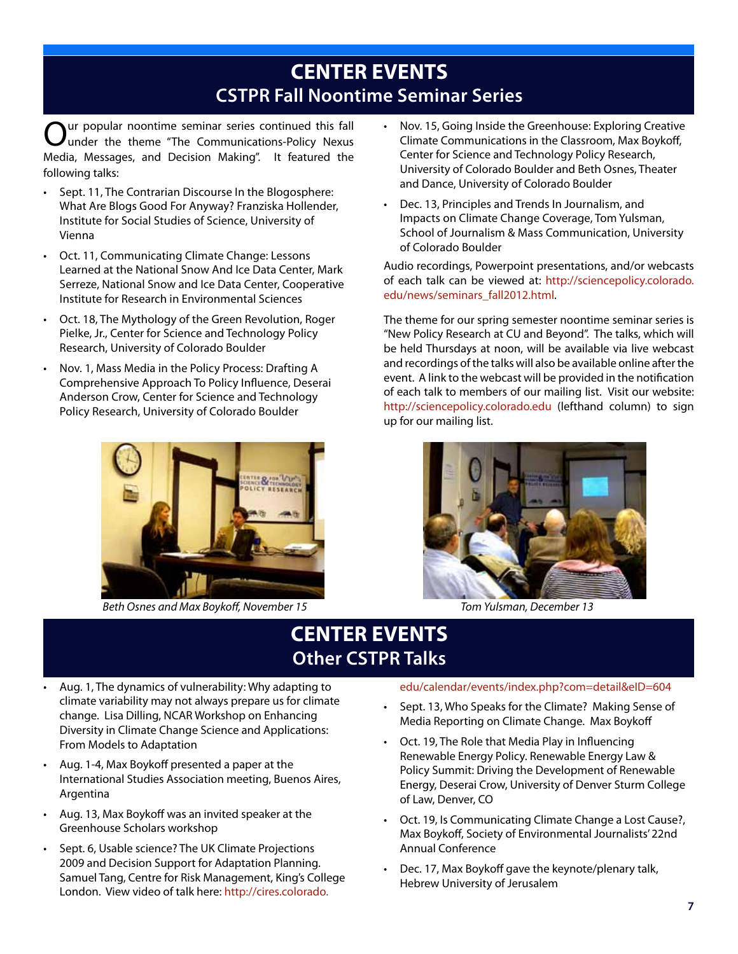# **CENTER EVENTS CSTPR Fall Noontime Seminar Series**

ur popular noontime seminar series continued this fall under the theme "The Communications-Policy Nexus Media, Messages, and Decision Making". It featured the following talks:

- Sept. 11, The Contrarian Discourse In the Blogosphere: What Are Blogs Good For Anyway? Franziska Hollender, Institute for Social Studies of Science, University of Vienna
- Oct. 11, Communicating Climate Change: Lessons Learned at the National Snow And Ice Data Center, Mark Serreze, National Snow and Ice Data Center, Cooperative Institute for Research in Environmental Sciences
- Oct. 18, The Mythology of the Green Revolution, Roger Pielke, Jr., Center for Science and Technology Policy Research, University of Colorado Boulder
- Nov. 1, Mass Media in the Policy Process: Drafting A Comprehensive Approach To Policy Influence, Deserai Anderson Crow, Center for Science and Technology Policy Research, University of Colorado Boulder



*Beth Osnes and Max Boykoff, November 15 Tom Yulsman, December 13*

- Nov. 15, Going Inside the Greenhouse: Exploring Creative Climate Communications in the Classroom, Max Boykoff, Center for Science and Technology Policy Research, University of Colorado Boulder and Beth Osnes, Theater and Dance, University of Colorado Boulder
- Dec. 13, Principles and Trends In Journalism, and Impacts on Climate Change Coverage, Tom Yulsman, School of Journalism & Mass Communication, University of Colorado Boulder

Audio recordings, Powerpoint presentations, and/or webcasts of each talk can be viewed at: http://sciencepolicy.colorado. edu/news/seminars\_fall2012.html.

The theme for our spring semester noontime seminar series is "New Policy Research at CU and Beyond". The talks, which will be held Thursdays at noon, will be available via live webcast and recordings of the talks will also be available online after the event. A link to the webcast will be provided in the notification of each talk to members of our mailing list. Visit our website: http://sciencepolicy.colorado.edu (lefthand column) to sign up for our mailing list.



# **CENTER EVENTS Other CSTPR Talks**

- Aug. 1, The dynamics of vulnerability: Why adapting to climate variability may not always prepare us for climate change. Lisa Dilling, NCAR Workshop on Enhancing Diversity in Climate Change Science and Applications: From Models to Adaptation
- Aug. 1-4, Max Boykoff presented a paper at the International Studies Association meeting, Buenos Aires, Argentina
- Aug. 13, Max Boykoff was an invited speaker at the Greenhouse Scholars workshop
- Sept. 6, Usable science? The UK Climate Projections 2009 and Decision Support for Adaptation Planning. Samuel Tang, Centre for Risk Management, King's College London. View video of talk here: http://cires.colorado.

#### edu/calendar/events/index.php?com=detail&eID=604

- Sept. 13, Who Speaks for the Climate? Making Sense of Media Reporting on Climate Change. Max Boykoff
- Oct. 19, The Role that Media Play in Influencing Renewable Energy Policy. Renewable Energy Law & Policy Summit: Driving the Development of Renewable Energy, Deserai Crow, University of Denver Sturm College of Law, Denver, CO
- Oct. 19, Is Communicating Climate Change a Lost Cause?, Max Boykoff, Society of Environmental Journalists' 22nd Annual Conference
- Dec. 17, Max Boykoff gave the keynote/plenary talk, Hebrew University of Jerusalem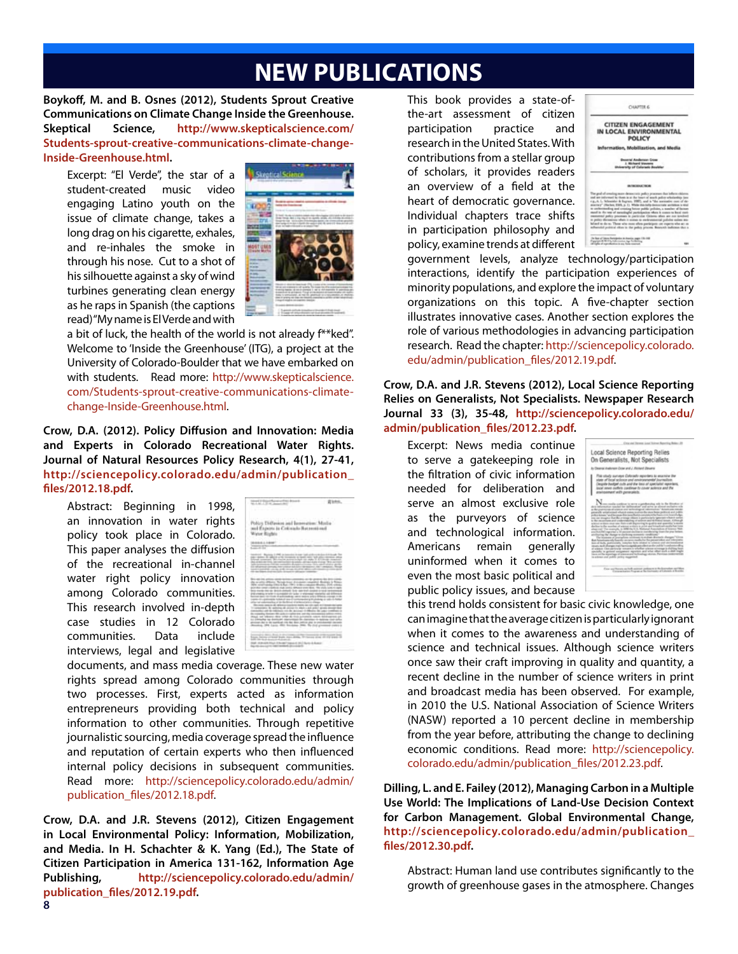# **NEW PUBLICATIONS**

**Boykoff, M. and B. Osnes (2012), Students Sprout Creative Communications on Climate Change Inside the Greenhouse. Skeptical Science, http://www.skepticalscience.com/ Students-sprout-creative-communications-climate-change-Inside-Greenhouse.html.**

Excerpt: "El Verde", the star of a student-created music video engaging Latino youth on the issue of climate change, takes a long drag on his cigarette, exhales, and re-inhales the smoke in through his nose. Cut to a shot of his silhouette against a sky of wind turbines generating clean energy as he raps in Spanish (the captions read) "My name is El Verde and with



a bit of luck, the health of the world is not already f\*\*ked". Welcome to 'Inside the Greenhouse' (ITG), a project at the University of Colorado-Boulder that we have embarked on with students. Read more: http://www.skepticalscience. com/Students-sprout-creative-communications-climatechange-Inside-Greenhouse.html.

**Crow, D.A. (2012). Policy Diffusion and Innovation: Media and Experts in Colorado Recreational Water Rights. Journal of Natural Resources Policy Research, 4(1), 27-41, http://sciencepolicy.colorado.edu/admin/publication\_ files/2012.18.pdf.**

Abstract: Beginning in 1998, an innovation in water rights policy took place in Colorado. This paper analyses the diffusion of the recreational in-channel water right policy innovation among Colorado communities. This research involved in-depth case studies in 12 Colorado communities. Data include interviews, legal and legislative

| toy Different and Improving Mada<br>Apota in Colorado Batzenti mal<br><b>Voter Rights</b>                                                                                                                                                                                                                                                                                                                       |                        |
|-----------------------------------------------------------------------------------------------------------------------------------------------------------------------------------------------------------------------------------------------------------------------------------------------------------------------------------------------------------------------------------------------------------------|------------------------|
|                                                                                                                                                                                                                                                                                                                                                                                                                 |                        |
| 1 May 24 a 79 St Atlanta Ave and All Ann at<br>an restor to specie and renaming stand with take the price<br><b>Reference Services and Automobiles</b>                                                                                                                                                                                                                                                          | disposal This approach |
| <b>Suffer Model to Frank and</b><br>do il solicitati<br>to article<br><b>Amatina</b><br><b><i>Film Shift Address</i></b><br><b><i><u><b>ALCO</b></u></i></b><br>-----<br>all proven to stay's a sell print.<br>in collections with the an-<br>but he where the crisis for the same<br>a la battuati cartettasi de car<br>single Aut to de superio ed crite Aust Alexa performance<br>a 1994 Larco Alto Anchesa. |                        |
| ally many dealer. We haven alone all city words<br><b>FELDS TREASURE CONSIDERED</b>                                                                                                                                                                                                                                                                                                                             | --                     |

documents, and mass media coverage. These new water rights spread among Colorado communities through two processes. First, experts acted as information entrepreneurs providing both technical and policy information to other communities. Through repetitive journalistic sourcing, media coverage spread the influence and reputation of certain experts who then influenced internal policy decisions in subsequent communities. Read more: http://sciencepolicy.colorado.edu/admin/ publication\_files/2012.18.pdf.

**Crow, D.A. and J.R. Stevens (2012), Citizen Engagement in Local Environmental Policy: Information, Mobilization, and Media. In H. Schachter & K. Yang (Ed.), The State of Citizen Participation in America 131-162, Information Age Publishing, http://sciencepolicy.colorado.edu/admin/ publication\_files/2012.19.pdf.**

This book provides a state-ofthe-art assessment of citizen participation practice and research in the United States. With contributions from a stellar group of scholars, it provides readers an overview of a field at the heart of democratic governance. Individual chapters trace shifts in participation philosophy and policy, examine trends at different



government levels, analyze technology/participation interactions, identify the participation experiences of minority populations, and explore the impact of voluntary organizations on this topic. A five-chapter section illustrates innovative cases. Another section explores the role of various methodologies in advancing participation research. Read the chapter: http://sciencepolicy.colorado. edu/admin/publication\_files/2012.19.pdf.

**Crow, D.A. and J.R. Stevens (2012), Local Science Reporting Relies on Generalists, Not Specialists. Newspaper Research Journal 33 (3), 35-48, http://sciencepolicy.colorado.edu/ admin/publication\_files/2012.23.pdf.**

Excerpt: News media continue to serve a gatekeeping role in the filtration of civic information needed for deliberation and serve an almost exclusive role as the purveyors of science and technological information. Americans remain generally uninformed when it comes to even the most basic political and public policy issues, and because



this trend holds consistent for basic civic knowledge, one can imagine that the average citizen is particularly ignorant when it comes to the awareness and understanding of science and technical issues. Although science writers once saw their craft improving in quality and quantity, a recent decline in the number of science writers in print and broadcast media has been observed. For example, in 2010 the U.S. National Association of Science Writers (NASW) reported a 10 percent decline in membership from the year before, attributing the change to declining economic conditions. Read more: http://sciencepolicy. colorado.edu/admin/publication\_files/2012.23.pdf.

**Dilling, L. and E. Failey (2012), Managing Carbon in a Multiple Use World: The Implications of Land-Use Decision Context for Carbon Management. Global Environmental Change, http://sciencepolicy.colorado.edu/admin/publication\_ files/2012.30.pdf.**

Abstract: Human land use contributes significantly to the growth of greenhouse gases in the atmosphere. Changes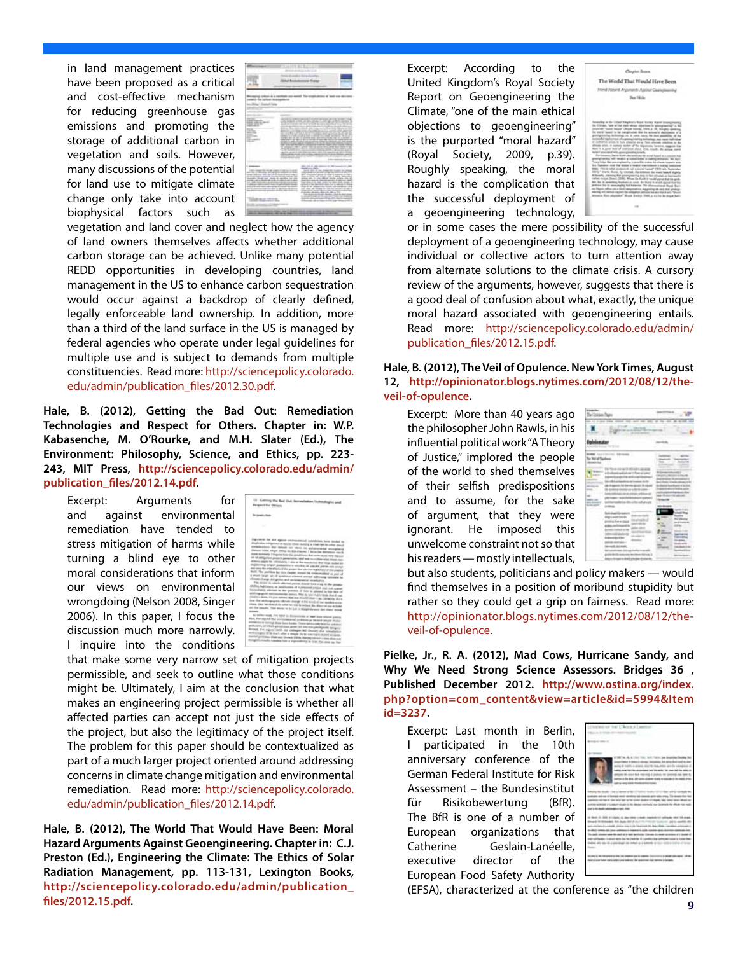in land management practices have been proposed as a critical and cost-effective mechanism for reducing greenhouse gas emissions and promoting the storage of additional carbon in vegetation and soils. However, many discussions of the potential for land use to mitigate climate change only take into account biophysical factors such as



vegetation and land cover and neglect how the agency of land owners themselves affects whether additional carbon storage can be achieved. Unlike many potential REDD opportunities in developing countries, land management in the US to enhance carbon sequestration would occur against a backdrop of clearly defined, legally enforceable land ownership. In addition, more than a third of the land surface in the US is managed by federal agencies who operate under legal guidelines for multiple use and is subject to demands from multiple constituencies. Read more: http://sciencepolicy.colorado. edu/admin/publication\_files/2012.30.pdf.

**Hale, B. (2012), Getting the Bad Out: Remediation Technologies and Respect for Others. Chapter in: W.P. Kabasenche, M. O'Rourke, and M.H. Slater (Ed.), The Environment: Philosophy, Science, and Ethics, pp. 223- 243, MIT Press, http://sciencepolicy.colorado.edu/admin/ publication\_files/2012.14.pdf.**

Excerpt: Arguments for and against environmental remediation have tended to stress mitigation of harms while turning a blind eye to other moral considerations that inform our views on environmental wrongdoing (Nelson 2008, Singer 2006). In this paper, I focus the discussion much more narrowly. I inquire into the conditions

| 13 Cutting the Bad Out Remediates Technologies and<br>Responsible delivery                                                                                                                                        |
|-------------------------------------------------------------------------------------------------------------------------------------------------------------------------------------------------------------------|
| <b>Rivalentin Rela</b>                                                                                                                                                                                            |
|                                                                                                                                                                                                                   |
|                                                                                                                                                                                                                   |
|                                                                                                                                                                                                                   |
|                                                                                                                                                                                                                   |
|                                                                                                                                                                                                                   |
|                                                                                                                                                                                                                   |
| Agrossis by and against exclusionized notestimes have tended to<br>enythelia mitigation of becomedate mentry a tribal top to other moved                                                                          |
| emainstant the artists for views on enterpreted attragining                                                                                                                                                       |
| (Network 1999), Takiper 2004), In: Milk character, I Berlan the discussions much                                                                                                                                  |
| door autowit. Fingales from the conditions that make autor well these or                                                                                                                                          |
| or of self-prices pasjoc's personates, and exit to collear what those cars.                                                                                                                                       |
| dident paight by Ultimately I was at the standard or that what scalars an                                                                                                                                         |
| engineering proper pumpasities is whichts all admitst parter can many<br>and says the side effects of the project flux admitst hydrotopy of the project                                                           |
|                                                                                                                                                                                                                   |
|                                                                                                                                                                                                                   |
| ment. The particular the tice chapter stream ha commitment on part of<br>A strach larger are of spontance criminal account sufferining commitment                                                                 |
| chains there entered and activements' marketist                                                                                                                                                                   |
| The excess to which affected purion durable betaw say in the promin                                                                                                                                               |
| alleding, highlichters, our justallicenters of a programmal project more component.<br>Incomediately substant to the specificity of hour to provinct as the bout of                                               |
| anthropogenic estimates and detect. That is, and in ply rated that if you                                                                                                                                         |
| counters many, this just sensed that one should down lines. Centerely, at it's                                                                                                                                    |
| lear that attributionally children change is the mode of the models state-                                                                                                                                        |
| show, they we should do what we can be reduce the discover our actions.                                                                                                                                           |
| on the classes. That mone to be just a staginteness fact about mone                                                                                                                                               |
| <b>Group</b>                                                                                                                                                                                                      |
| to exchange and, the exed to demonstrate at least from related policies                                                                                                                                           |
| First, For argued that sometimental problems go benefit simple chance                                                                                                                                             |
| entertiate a demay their least home. These perticularly test for existence                                                                                                                                        |
| professors, of which generatous grant let not the prochamatic energies.<br>Insued, the expost (with my colleager Bill Grandy) that sometimizes<br>inclusionally (ES) start offer a single fix to sometimize sense |
|                                                                                                                                                                                                                   |
| mental professor (that and Growth SEOS, Hardwarened video show out                                                                                                                                                |
| marginal consider transfers here a copyrightedness to down the news up. Not                                                                                                                                       |
|                                                                                                                                                                                                                   |

that make some very narrow set of mitigation projects permissible, and seek to outline what those conditions might be. Ultimately, I aim at the conclusion that what makes an engineering project permissible is whether all affected parties can accept not just the side effects of the project, but also the legitimacy of the project itself. The problem for this paper should be contextualized as part of a much larger project oriented around addressing concerns in climate change mitigation and environmental remediation. Read more: http://sciencepolicy.colorado. edu/admin/publication\_files/2012.14.pdf.

**Hale, B. (2012), The World That Would Have Been: Moral Hazard Arguments Against Geoengineering. Chapter in: C.J. Preston (Ed.), Engineering the Climate: The Ethics of Solar Radiation Management, pp. 113-131, Lexington Books, http://sciencepolicy.colorado.edu/admin/publication\_ files/2012.15.pdf. 9**

Excerpt: According to the United Kingdom's Royal Society Report on Geoengineering the Climate, "one of the main ethical objections to geoengineering" is the purported "moral hazard" (Royal Society, 2009, p.39). Roughly speaking, the moral hazard is the complication that the successful deployment of a geoengineering technology,



or in some cases the mere possibility of the successful deployment of a geoengineering technology, may cause individual or collective actors to turn attention away from alternate solutions to the climate crisis. A cursory review of the arguments, however, suggests that there is a good deal of confusion about what, exactly, the unique moral hazard associated with geoengineering entails. Read more: http://sciencepolicy.colorado.edu/admin/ publication\_files/2012.15.pdf.

#### **Hale, B. (2012), The Veil of Opulence. New York Times, August 12, http://opinionator.blogs.nytimes.com/2012/08/12/theveil-of-opulence.**

Excerpt: More than 40 years ago the philosopher John Rawls, in his influential political work "A Theory of Justice," implored the people of the world to shed themselves of their selfish predispositions and to assume, for the sake of argument, that they were ignorant. He imposed this unwelcome constraint not so that his readers — mostly intellectuals,



but also students, politicians and policy makers — would find themselves in a position of moribund stupidity but rather so they could get a grip on fairness. Read more: http://opinionator.blogs.nytimes.com/2012/08/12/theveil-of-opulence.

**Pielke, Jr., R. A. (2012), Mad Cows, Hurricane Sandy, and Why We Need Strong Science Assessors. Bridges 36 , Published December 2012. http://www.ostina.org/index. php?option=com\_content&view=article&id=5994&Item id=3237.**

Excerpt: Last month in Berlin, I participated in the 10th anniversary conference of the German Federal Institute for Risk Assessment – the Bundesinstitut für Risikobewertung (BfR). The BfR is one of a number of European organizations that Catherine Geslain-Lanéelle, executive director of the European Food Safety Authority



(EFSA), characterized at the conference as "the children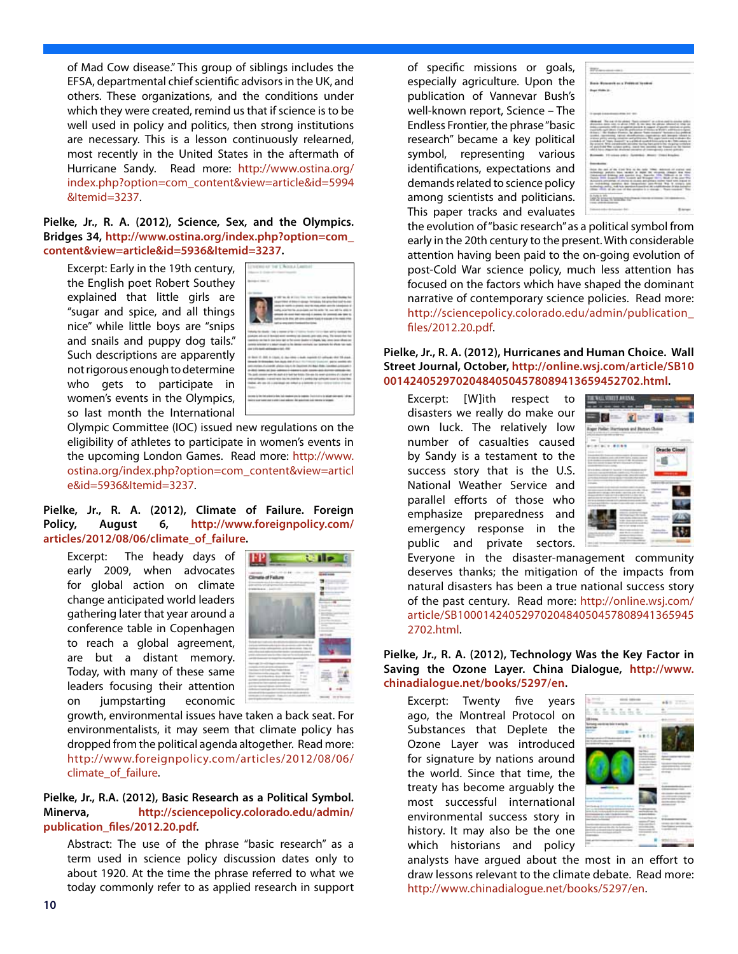of Mad Cow disease." This group of siblings includes the EFSA, departmental chief scientific advisors in the UK, and others. These organizations, and the conditions under which they were created, remind us that if science is to be well used in policy and politics, then strong institutions are necessary. This is a lesson continuously relearned, most recently in the United States in the aftermath of Hurricane Sandy. Read more: http://www.ostina.org/ index.php?option=com\_content&view=article&id=5994 &Itemid=3237.

**Pielke, Jr., R. A. (2012), Science, Sex, and the Olympics. Bridges 34, http://www.ostina.org/index.php?option=com\_ content&view=article&id=5936&Itemid=3237.**

Excerpt: Early in the 19th century, the English poet Robert Southey explained that little girls are "sugar and spice, and all things nice" while little boys are "snips and snails and puppy dog tails." Such descriptions are apparently not rigorous enough to determine who gets to participate in women's events in the Olympics, so last month the International



Olympic Committee (IOC) issued new regulations on the eligibility of athletes to participate in women's events in the upcoming London Games. Read more: http://www. ostina.org/index.php?option=com\_content&view=articl e&id=5936&Itemid=3237.

**Pielke, Jr., R. A. (2012), Climate of Failure. Foreign Policy, August 6, http://www.foreignpolicy.com/ articles/2012/08/06/climate\_of\_failure.**

Excerpt: The heady days of early 2009, when advocates for global action on climate change anticipated world leaders gathering later that year around a conference table in Copenhagen to reach a global agreement, are but a distant memory. Today, with many of these same leaders focusing their attention on jumpstarting economic



growth, environmental issues have taken a back seat. For environmentalists, it may seem that climate policy has dropped from the political agenda altogether. Read more: http://www.foreignpolicy.com/articles/2012/08/06/ climate of failure.

#### **Pielke, Jr., R.A. (2012), Basic Research as a Political Symbol. Minerva, http://sciencepolicy.colorado.edu/admin/ publication\_files/2012.20.pdf.**

Abstract: The use of the phrase "basic research" as a term used in science policy discussion dates only to about 1920. At the time the phrase referred to what we today commonly refer to as applied research in support

of specific missions or goals, especially agriculture. Upon the publication of Vannevar Bush's well-known report, Science – The Endless Frontier, the phrase "basic research" became a key political symbol, representing various identifications, expectations and demands related to science policy among scientists and politicians. This paper tracks and evaluates



the evolution of "basic research" as a political symbol from early in the 20th century to the present. With considerable attention having been paid to the on-going evolution of post-Cold War science policy, much less attention has focused on the factors which have shaped the dominant narrative of contemporary science policies. Read more: http://sciencepolicy.colorado.edu/admin/publication\_ files/2012.20.pdf.

**Pielke, Jr., R. A. (2012), Hurricanes and Human Choice. Wall Street Journal, October, http://online.wsj.com/article/SB10 001424052970204840504578089413659452702.html.**

Excerpt: [W]ith respect to disasters we really do make our own luck. The relatively low number of casualties caused by Sandy is a testament to the success story that is the U.S. National Weather Service and parallel efforts of those who emphasize preparedness and emergency response in the public and private sectors.



Everyone in the disaster-management community deserves thanks; the mitigation of the impacts from natural disasters has been a true national success story of the past century. Read more: http://online.wsj.com/ article/SB1000142405297020484050457808941365945 2702.html.

#### **Pielke, Jr., R. A. (2012), Technology Was the Key Factor in Saving the Ozone Layer. China Dialogue, http://www. chinadialogue.net/books/5297/en.**

Excerpt: Twenty five years ago, the Montreal Protocol on Substances that Deplete the Ozone Layer was introduced for signature by nations around the world. Since that time, the treaty has become arguably the most successful international environmental success story in history. It may also be the one which historians and policy



analysts have argued about the most in an effort to draw lessons relevant to the climate debate. Read more: http://www.chinadialogue.net/books/5297/en.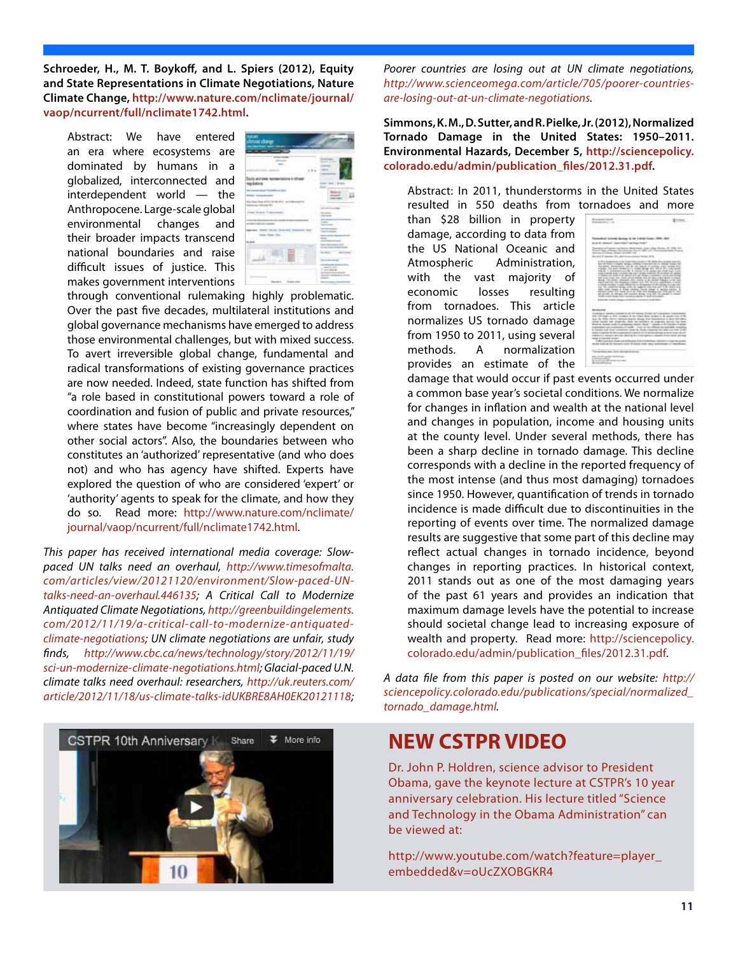**Schroeder, H., M. T. Boykoff, and L. Spiers (2012), Equity and State Representations in Climate Negotiations, Nature Climate Change, http://www.nature.com/nclimate/journal/ vaop/ncurrent/full/nclimate1742.html.**

Abstract: We have entered an era where ecosystems are dominated by humans in a globalized, interconnected and interdependent world — the Anthropocene. Large-scale global environmental changes and their broader impacts transcend national boundaries and raise difficult issues of justice. This makes government interventions

| an charge:<br>$\sim$ 10<br><b>Brazil Edmonton Brazil</b><br>١<br><b>Country</b><br>۰<br>÷<br>$-11$<br><b>START OF</b> |  |
|-----------------------------------------------------------------------------------------------------------------------|--|
|                                                                                                                       |  |
|                                                                                                                       |  |
|                                                                                                                       |  |
|                                                                                                                       |  |
|                                                                                                                       |  |
|                                                                                                                       |  |
|                                                                                                                       |  |
|                                                                                                                       |  |
|                                                                                                                       |  |
|                                                                                                                       |  |
|                                                                                                                       |  |
|                                                                                                                       |  |
|                                                                                                                       |  |
|                                                                                                                       |  |
|                                                                                                                       |  |
|                                                                                                                       |  |
|                                                                                                                       |  |
|                                                                                                                       |  |
|                                                                                                                       |  |
|                                                                                                                       |  |
|                                                                                                                       |  |
|                                                                                                                       |  |
|                                                                                                                       |  |
|                                                                                                                       |  |
|                                                                                                                       |  |
|                                                                                                                       |  |
|                                                                                                                       |  |
|                                                                                                                       |  |
|                                                                                                                       |  |
|                                                                                                                       |  |
| <b>Loka Higher-Hind</b>                                                                                               |  |
| c.                                                                                                                    |  |
| en e                                                                                                                  |  |
|                                                                                                                       |  |
|                                                                                                                       |  |
|                                                                                                                       |  |
|                                                                                                                       |  |
|                                                                                                                       |  |
| Ŀ                                                                                                                     |  |
|                                                                                                                       |  |
| <b><i><u>Francisco</u></i></b>                                                                                        |  |
|                                                                                                                       |  |
| ۰                                                                                                                     |  |
| -                                                                                                                     |  |
|                                                                                                                       |  |
|                                                                                                                       |  |

through conventional rulemaking highly problematic. Over the past five decades, multilateral institutions and global governance mechanisms have emerged to address those environmental challenges, but with mixed success. To avert irreversible global change, fundamental and radical transformations of existing governance practices are now needed. Indeed, state function has shifted from "a role based in constitutional powers toward a role of coordination and fusion of public and private resources," where states have become "increasingly dependent on other social actors". Also, the boundaries between who constitutes an 'authorized' representative (and who does not) and who has agency have shifted. Experts have explored the question of who are considered 'expert' or 'authority' agents to speak for the climate, and how they do so. Read more: http://www.nature.com/nclimate/ journal/vaop/ncurrent/full/nclimate1742.html.

*This paper has received international media coverage: Slowpaced UN talks need an overhaul, http://www.timesofmalta. com/articles/view/20121120/environment/Slow-paced-UNtalks-need-an-overhaul.446135; A Critical Call to Modernize Antiquated Climate Negotiations, http://greenbuildingelements. com/2012/11/19/a-critical-call-to-modernize-antiquatedclimate-negotiations; UN climate negotiations are unfair, study finds, http://www.cbc.ca/news/technology/story/2012/11/19/ sci-un-modernize-climate-negotiations.html; Glacial-paced U.N. climate talks need overhaul: researchers, http://uk.reuters.com/*

*article/2012/11/18/us-climate-talks-idUKBRE8AH0EK20121118;*  CSTPR 10th Anniversary  $\blacktriangleright$  More info. Share

*Poorer countries are losing out at UN climate negotiations, http://www.scienceomega.com/article/705/poorer-countriesare-losing-out-at-un-climate-negotiations.*

**Simmons, K. M., D. Sutter, and R. Pielke, Jr. (2012), Normalized Tornado Damage in the United States: 1950–2011. Environmental Hazards, December 5, http://sciencepolicy. colorado.edu/admin/publication\_files/2012.31.pdf.**

Abstract: In 2011, thunderstorms in the United States resulted in 550 deaths from tornadoes and more

than \$28 billion in property damage, according to data from the US National Oceanic and Atmospheric Administration, with the vast majority of economic losses resulting from tornadoes. This article normalizes US tornado damage from 1950 to 2011, using several methods. A normalization provides an estimate of the



damage that would occur if past events occurred under a common base year's societal conditions. We normalize for changes in inflation and wealth at the national level and changes in population, income and housing units at the county level. Under several methods, there has been a sharp decline in tornado damage. This decline corresponds with a decline in the reported frequency of the most intense (and thus most damaging) tornadoes since 1950. However, quantification of trends in tornado incidence is made difficult due to discontinuities in the reporting of events over time. The normalized damage results are suggestive that some part of this decline may reflect actual changes in tornado incidence, beyond changes in reporting practices. In historical context, 2011 stands out as one of the most damaging years of the past 61 years and provides an indication that maximum damage levels have the potential to increase should societal change lead to increasing exposure of wealth and property. Read more: http://sciencepolicy. colorado.edu/admin/publication\_files/2012.31.pdf.

*A data file from this paper is posted on our website: http:// sciencepolicy.colorado.edu/publications/special/normalized\_ tornado\_damage.html.*

### **NEW CSTPR VIDEO**

Dr. John P. Holdren, science advisor to President Obama, gave the keynote lecture at CSTPR's 10 year anniversary celebration. His lecture titled "Science and Technology in the Obama Administration" can be viewed at:

http://www.youtube.com/watch?feature=player\_ embedded&v=oUcZXOBGKR4